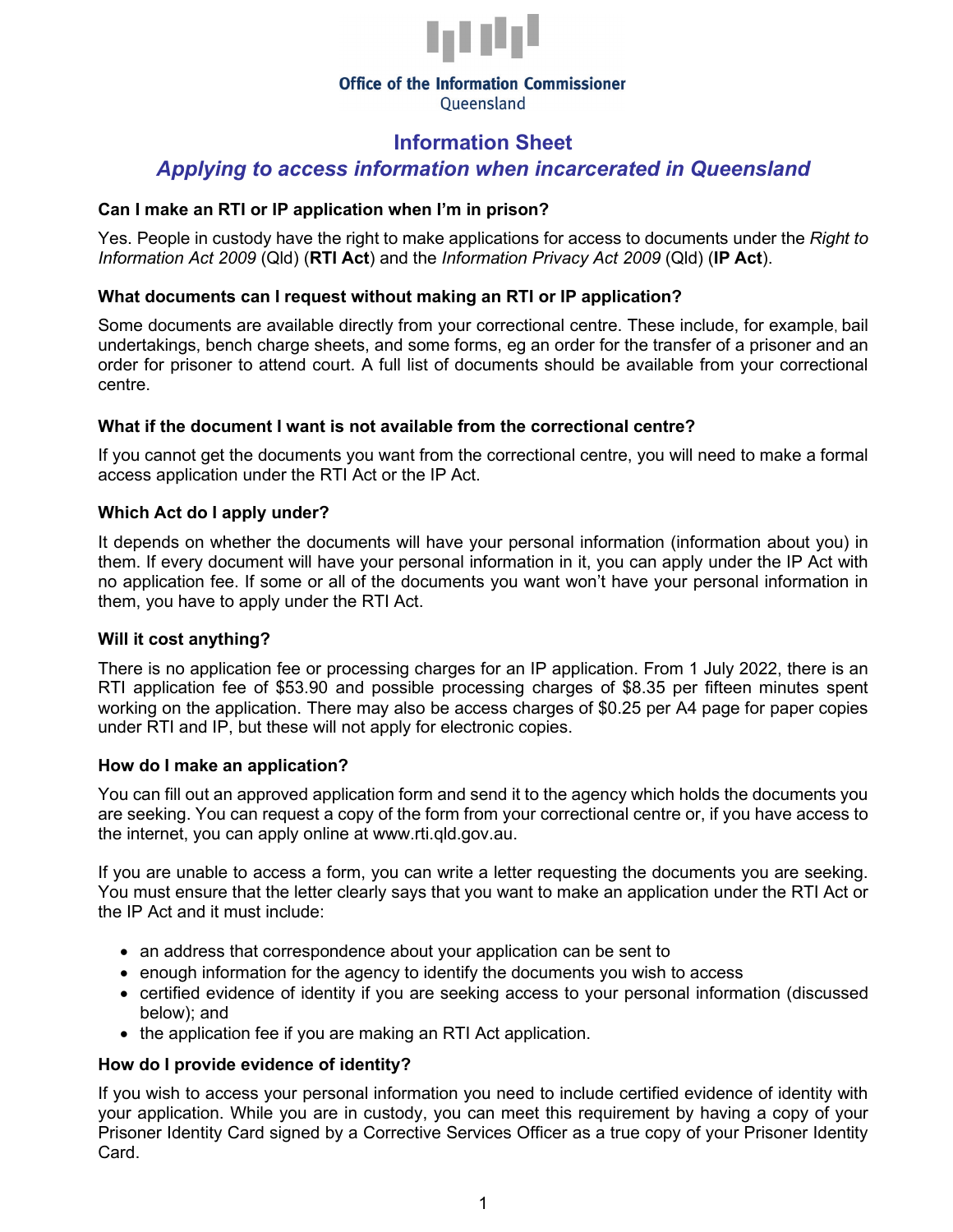

#### **Office of the Information Commissioner** Oueensland

# **Information Sheet**  *Applying to access information when incarcerated in Queensland*

## **Can I make an RTI or IP application when I'm in prison?**

Yes. People in custody have the right to make applications for access to documents under the *Right to Information Act 2009* (Qld) (**RTI Act**) and the *Information Privacy Act 2009* (Qld) (**IP Act**).

## **What documents can I request without making an RTI or IP application?**

Some documents are available directly from your correctional centre. These include, for example, bail undertakings, bench charge sheets, and some forms, eg an order for the transfer of a prisoner and an order for prisoner to attend court. A full list of documents should be available from your correctional centre.

### **What if the document I want is not available from the correctional centre?**

If you cannot get the documents you want from the correctional centre, you will need to make a formal access application under the RTI Act or the IP Act.

### **Which Act do I apply under?**

It depends on whether the documents will have your personal information (information about you) in them. If every document will have your personal information in it, you can apply under the IP Act with no application fee. If some or all of the documents you want won't have your personal information in them, you have to apply under the RTI Act.

### **Will it cost anything?**

There is no application fee or processing charges for an IP application. From 1 July 2022, there is an RTI application fee of \$53.90 and possible processing charges of \$8.35 per fifteen minutes spent working on the application. There may also be access charges of \$0.25 per A4 page for paper copies under RTI and IP, but these will not apply for electronic copies.

#### **How do I make an application?**

You can fill out an approved application form and send it to the agency which holds the documents you are seeking. You can request a copy of the form from your correctional centre or, if you have access to the internet, you can apply online at www.rti.qld.gov.au.

If you are unable to access a form, you can write a letter requesting the documents you are seeking. You must ensure that the letter clearly says that you want to make an application under the RTI Act or the IP Act and it must include:

- an address that correspondence about your application can be sent to
- enough information for the agency to identify the documents you wish to access
- certified evidence of identity if you are seeking access to your personal information (discussed below); and
- the application fee if you are making an RTI Act application.

### **How do I provide evidence of identity?**

If you wish to access your personal information you need to include certified evidence of identity with your application. While you are in custody, you can meet this requirement by having a copy of your Prisoner Identity Card signed by a Corrective Services Officer as a true copy of your Prisoner Identity Card.